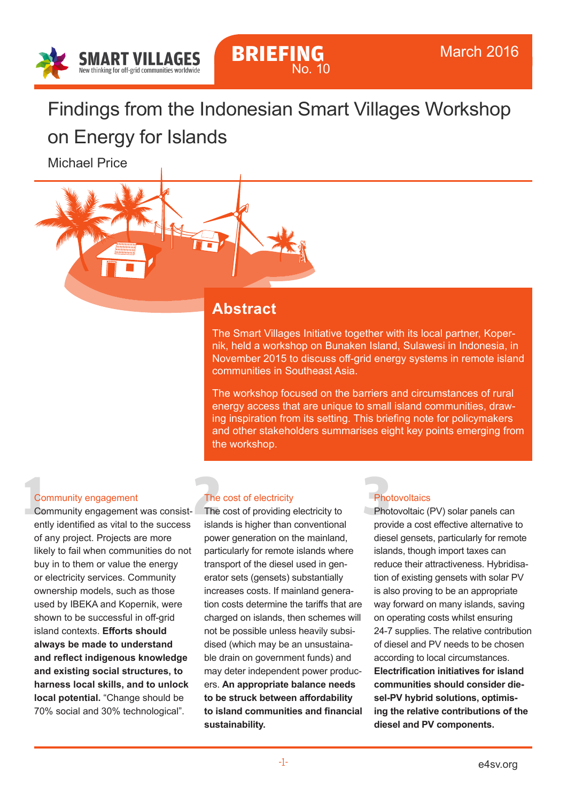

# Findings from the Indonesian Smart Villages Workshop

on Energy for Islands

Michael Price



The Smart Villages Initiative together with its local partner, Kopernik, held a workshop on Bunaken Island, Sulawesi in Indonesia, in November 2015 to discuss off-grid energy systems in remote island communities in Southeast Asia.

The workshop focused on the barriers and circumstances of rural energy access that are unique to small island communities, drawing inspiration from its setting. This briefing note for policymakers and other stakeholders summarises eight key points emerging from the workshop.

#### Community engagement

**1**<br> **1**<br> **1**<br> **1**<br> **1**<br> **1**<br> **1** Community engagement was consist ently identified as vital to the success of any project. Projects are more likely to fail when communities do not buy in to them or value the energy or electricity services. Community ownership models, such as those used by IBEKA and Kopernik, were shown to be successful in off-grid island contexts. **Efforts should always be made to understand and reflect indigenous knowledge and existing social structures, to harness local skills, and to unlock local potential.** "Change should be 70% social and 30% technological".

## The cost of electricity

The cost of electricity<br>
The cost of providing electricity to<br>
sislands is higher than conventional The cost of providing electricity to islands is higher than conventional power generation on the mainland, particularly for remote islands where transport of the diesel used in generator sets (gensets) substantially increases costs. If mainland generation costs determine the tariffs that are charged on islands, then schemes will not be possible unless heavily subsidised (which may be an unsustainable drain on government funds) and may deter independent power producers. **An appropriate balance needs to be struck between affordability to island communities and financial sustainability.**

## **Photovoltaics**

**Photovoltaic (PV) solar panels can** provide a cost effective alternative to diesel gensets, particularly for remote islands, though import taxes can reduce their attractiveness. Hybridisation of existing gensets with solar PV is also proving to be an appropriate way forward on many islands, saving on operating costs whilst ensuring 24-7 supplies. The relative contribution of diesel and PV needs to be chosen according to local circumstances. **Electrification initiatives for island communities should consider diesel-PV hybrid solutions, optimising the relative contributions of the diesel and PV components.**